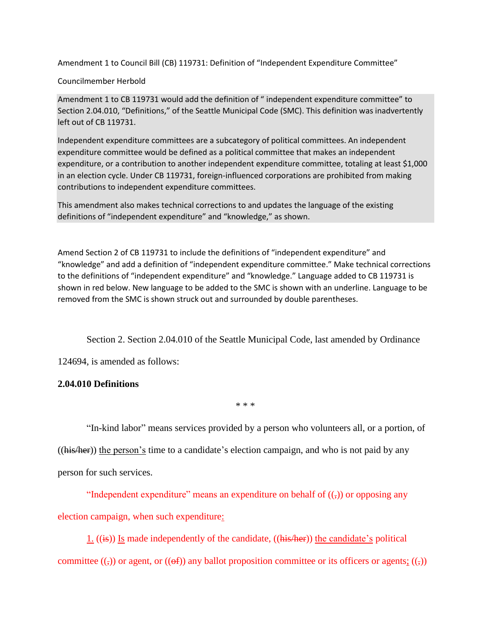Amendment 1 to Council Bill (CB) 119731: Definition of "Independent Expenditure Committee"

## Councilmember Herbold

Amendment 1 to CB 119731 would add the definition of " independent expenditure committee" to Section 2.04.010, "Definitions," of the Seattle Municipal Code (SMC). This definition was inadvertently left out of CB 119731.

Independent expenditure committees are a subcategory of political committees. An independent expenditure committee would be defined as a political committee that makes an independent expenditure, or a contribution to another independent expenditure committee, totaling at least \$1,000 in an election cycle. Under CB 119731, foreign-influenced corporations are prohibited from making contributions to independent expenditure committees.

This amendment also makes technical corrections to and updates the language of the existing definitions of "independent expenditure" and "knowledge," as shown.

Amend Section 2 of CB 119731 to include the definitions of "independent expenditure" and "knowledge" and add a definition of "independent expenditure committee." Make technical corrections to the definitions of "independent expenditure" and "knowledge." Language added to CB 119731 is shown in red below. New language to be added to the SMC is shown with an underline. Language to be removed from the SMC is shown struck out and surrounded by double parentheses.

Section 2. Section 2.04.010 of the Seattle Municipal Code, last amended by Ordinance

124694, is amended as follows:

## **2.04.010 Definitions**

\* \* \*

"In-kind labor" means services provided by a person who volunteers all, or a portion, of

 $((\overline{\text{his/her}}))$  the person's time to a candidate's election campaign, and who is not paid by any person for such services.

"Independent expenditure" means an expenditure on behalf of  $((\cdot))$  or opposing any election campaign, when such expenditure:

1.  $((\mathbf{is})$  Is made independently of the candidate,  $((\mathbf{his/her}))$  the candidate's political committee  $((\tau))$  or agent, or  $((\theta f))$  any ballot proposition committee or its officers or agents;  $((\tau))$